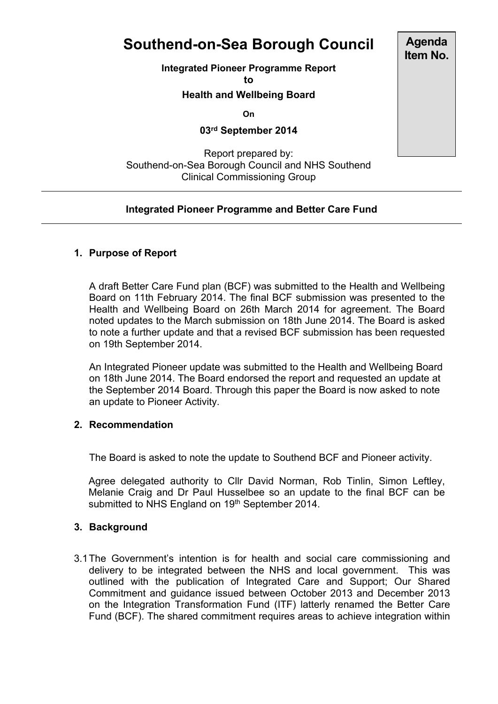# **Southend-on-Sea Borough Council**

**Integrated Pioneer Programme Report**

**to**

# **Health and Wellbeing Board**

**On**

# **03rd September 2014**

# Report prepared by: Southend-on-Sea Borough Council and NHS Southend Clinical Commissioning Group

# **Integrated Pioneer Programme and Better Care Fund**

### **1. Purpose of Report**

A draft Better Care Fund plan (BCF) was submitted to the Health and Wellbeing Board on 11th February 2014. The final BCF submission was presented to the Health and Wellbeing Board on 26th March 2014 for agreement. The Board noted updates to the March submission on 18th June 2014. The Board is asked to note a further update and that a revised BCF submission has been requested on 19th September 2014.

An Integrated Pioneer update was submitted to the Health and Wellbeing Board on 18th June 2014. The Board endorsed the report and requested an update at the September 2014 Board. Through this paper the Board is now asked to note an update to Pioneer Activity.

#### **2. Recommendation**

The Board is asked to note the update to Southend BCF and Pioneer activity.

Agree delegated authority to Cllr David Norman, Rob Tinlin, Simon Leftley, Melanie Craig and Dr Paul Husselbee so an update to the final BCF can be submitted to NHS England on 19<sup>th</sup> September 2014.

### **3. Background**

3.1The Government's intention is for health and social care commissioning and delivery to be integrated between the NHS and local government. This was outlined with the publication of Integrated Care and Support; Our Shared Commitment and guidance issued between October 2013 and December 2013 on the Integration Transformation Fund (ITF) latterly renamed the Better Care Fund (BCF). The shared commitment requires areas to achieve integration within

**Agenda Item No.**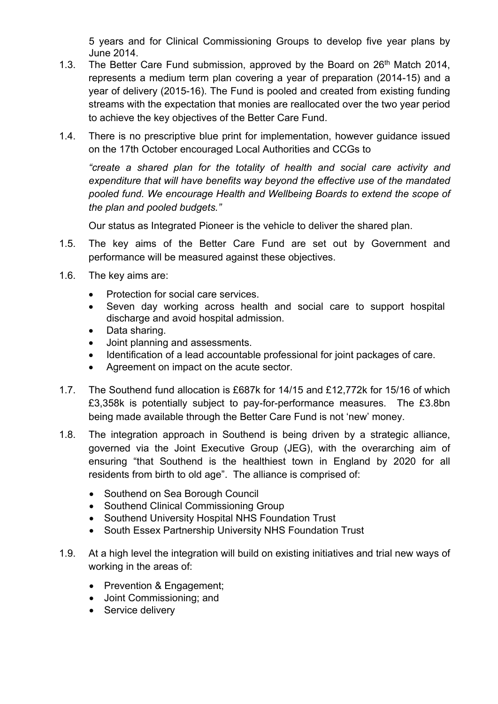5 years and for Clinical Commissioning Groups to develop five year plans by June 2014.

- 1.3. The Better Care Fund submission, approved by the Board on  $26<sup>th</sup>$  Match 2014, represents a medium term plan covering a year of preparation (2014-15) and a year of delivery (2015-16). The Fund is pooled and created from existing funding streams with the expectation that monies are reallocated over the two year period to achieve the key objectives of the Better Care Fund.
- 1.4. There is no prescriptive blue print for implementation, however guidance issued on the 17th October encouraged Local Authorities and CCGs to

*"create a shared plan for the totality of health and social care activity and expenditure that will have benefits way beyond the effective use of the mandated pooled fund. We encourage Health and Wellbeing Boards to extend the scope of the plan and pooled budgets."*

Our status as Integrated Pioneer is the vehicle to deliver the shared plan.

- 1.5. The key aims of the Better Care Fund are set out by Government and performance will be measured against these objectives.
- 1.6. The key aims are:
	- Protection for social care services.
	- Seven day working across health and social care to support hospital discharge and avoid hospital admission.
	- Data sharing.
	- Joint planning and assessments.
	- Identification of a lead accountable professional for joint packages of care.
	- Agreement on impact on the acute sector.
- 1.7. The Southend fund allocation is £687k for 14/15 and £12,772k for 15/16 of which £3,358k is potentially subject to pay-for-performance measures. The £3.8bn being made available through the Better Care Fund is not 'new' money.
- 1.8. The integration approach in Southend is being driven by a strategic alliance, governed via the Joint Executive Group (JEG), with the overarching aim of ensuring "that Southend is the healthiest town in England by 2020 for all residents from birth to old age". The alliance is comprised of:
	- Southend on Sea Borough Council
	- Southend Clinical Commissioning Group
	- Southend University Hospital NHS Foundation Trust
	- South Essex Partnership University NHS Foundation Trust
- 1.9. At a high level the integration will build on existing initiatives and trial new ways of working in the areas of:
	- Prevention & Engagement;
	- Joint Commissioning; and
	- Service delivery